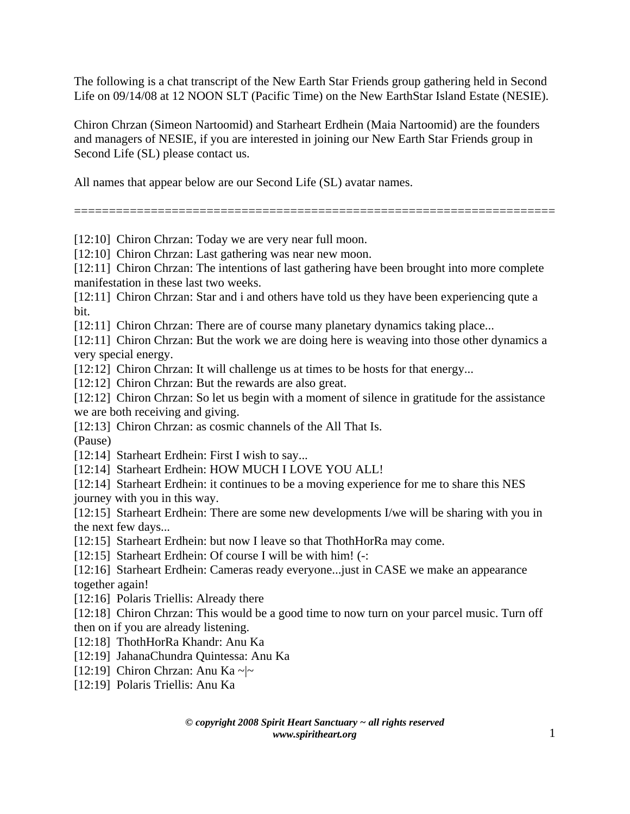The following is a chat transcript of the New Earth Star Friends group gathering held in Second Life on 09/14/08 at 12 NOON SLT (Pacific Time) on the New EarthStar Island Estate (NESIE).

Chiron Chrzan (Simeon Nartoomid) and Starheart Erdhein (Maia Nartoomid) are the founders and managers of NESIE, if you are interested in joining our New Earth Star Friends group in Second Life (SL) please contact us.

All names that appear below are our Second Life (SL) avatar names.

=====================================================================

[12:10] Chiron Chrzan: Today we are very near full moon.

[12:10] Chiron Chrzan: Last gathering was near new moon.

[12:11] Chiron Chrzan: The intentions of last gathering have been brought into more complete manifestation in these last two weeks.

[12:11] Chiron Chrzan: Star and i and others have told us they have been experiencing qute a bit.

[12:11] Chiron Chrzan: There are of course many planetary dynamics taking place...

[12:11] Chiron Chrzan: But the work we are doing here is weaving into those other dynamics a very special energy.

[12:12] Chiron Chrzan: It will challenge us at times to be hosts for that energy...

[12:12] Chiron Chrzan: But the rewards are also great.

[12:12] Chiron Chrzan: So let us begin with a moment of silence in gratitude for the assistance we are both receiving and giving.

[12:13] Chiron Chrzan: as cosmic channels of the All That Is.

(Pause)

[12:14] Starheart Erdhein: First I wish to say...

[12:14] Starheart Erdhein: HOW MUCH I LOVE YOU ALL!

[12:14] Starheart Erdhein: it continues to be a moving experience for me to share this NES journey with you in this way.

[12:15] Starheart Erdhein: There are some new developments I/we will be sharing with you in the next few days...

[12:15] Starheart Erdhein: but now I leave so that ThothHorRa may come.

[12:15] Starheart Erdhein: Of course I will be with him! (-:

[12:16] Starheart Erdhein: Cameras ready everyone... just in CASE we make an appearance together again!

[12:16] Polaris Triellis: Already there

[12:18] Chiron Chrzan: This would be a good time to now turn on your parcel music. Turn off then on if you are already listening.

[12:18] ThothHorRa Khandr: Anu Ka

[12:19] JahanaChundra Quintessa: Anu Ka

[12:19] Chiron Chrzan: Anu Ka ~ $\sim$ 

[12:19] Polaris Triellis: Anu Ka

*© copyright 2008 Spirit Heart Sanctuary ~ all rights reserved www.spiritheart.org* 1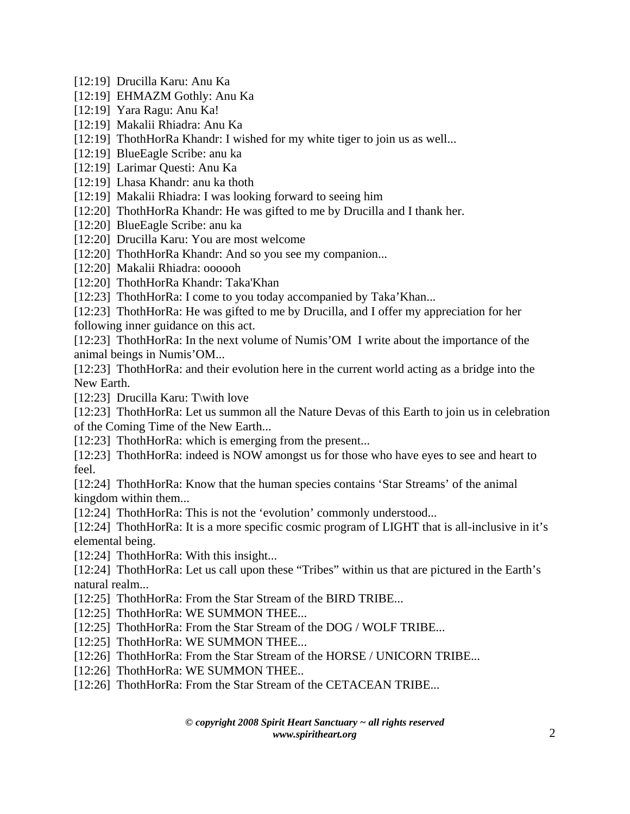- [12:19] Drucilla Karu: Anu Ka
- [12:19] EHMAZM Gothly: Anu Ka
- [12:19] Yara Ragu: Anu Ka!
- [12:19] Makalii Rhiadra: Anu Ka
- [12:19] ThothHorRa Khandr: I wished for my white tiger to join us as well...
- [12:19] BlueEagle Scribe: anu ka
- [12:19] Larimar Questi: Anu Ka
- [12:19] Lhasa Khandr: anu ka thoth
- [12:19] Makalii Rhiadra: I was looking forward to seeing him
- [12:20] ThothHorRa Khandr: He was gifted to me by Drucilla and I thank her.
- [12:20] BlueEagle Scribe: anu ka
- [12:20] Drucilla Karu: You are most welcome
- [12:20] ThothHorRa Khandr: And so you see my companion...
- [12:20] Makalii Rhiadra: oooooh
- [12:20] ThothHorRa Khandr: Taka'Khan
- [12:23] ThothHorRa: I come to you today accompanied by Taka'Khan...
- [12:23] ThothHorRa: He was gifted to me by Drucilla, and I offer my appreciation for her following inner guidance on this act.
- [12:23] ThothHorRa: In the next volume of Numis'OM I write about the importance of the animal beings in Numis'OM...
- [12:23] ThothHorRa: and their evolution here in the current world acting as a bridge into the New Earth.
- [12:23] Drucilla Karu: T\with love
- [12:23] ThothHorRa: Let us summon all the Nature Devas of this Earth to join us in celebration of the Coming Time of the New Earth...
- [12:23] ThothHorRa: which is emerging from the present...
- [12:23] ThothHorRa: indeed is NOW amongst us for those who have eyes to see and heart to feel.
- [12:24] ThothHorRa: Know that the human species contains 'Star Streams' of the animal kingdom within them...
- [12:24] ThothHorRa: This is not the 'evolution' commonly understood...
- [12:24] ThothHorRa: It is a more specific cosmic program of LIGHT that is all-inclusive in it's elemental being.
- [12:24] ThothHorRa: With this insight...
- [12:24] ThothHorRa: Let us call upon these "Tribes" within us that are pictured in the Earth's natural realm...
- [12:25] ThothHorRa: From the Star Stream of the BIRD TRIBE...
- [12:25] ThothHorRa: WE SUMMON THEE...
- [12:25] ThothHorRa: From the Star Stream of the DOG / WOLF TRIBE...
- [12:25] ThothHorRa: WE SUMMON THEE...
- [12:26] ThothHorRa: From the Star Stream of the HORSE / UNICORN TRIBE...
- [12:26] ThothHorRa: WE SUMMON THEE..
- [12:26] ThothHorRa: From the Star Stream of the CETACEAN TRIBE...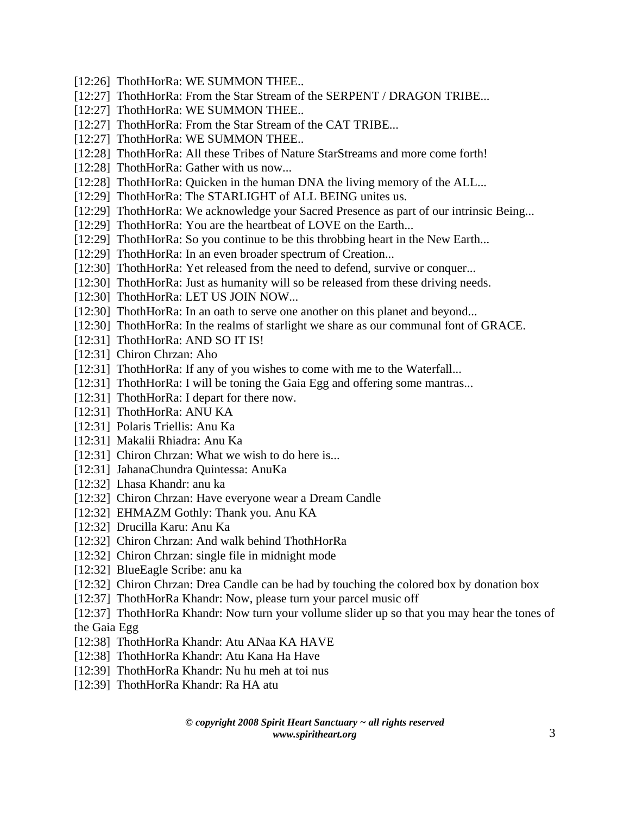- [12:26] ThothHorRa: WE SUMMON THEE..
- [12:27] ThothHorRa: From the Star Stream of the SERPENT / DRAGON TRIBE...
- [12:27] ThothHorRa: WE SUMMON THEE..
- [12:27] ThothHorRa: From the Star Stream of the CAT TRIBE...
- [12:27] ThothHorRa: WE SUMMON THEE...
- [12:28] ThothHorRa: All these Tribes of Nature StarStreams and more come forth!
- [12:28] ThothHorRa: Gather with us now...
- [12:28] ThothHorRa: Quicken in the human DNA the living memory of the ALL...
- [12:29] ThothHorRa: The STARLIGHT of ALL BEING unites us.
- [12:29] ThothHorRa: We acknowledge your Sacred Presence as part of our intrinsic Being...
- [12:29] ThothHorRa: You are the heartbeat of LOVE on the Earth...
- [12:29] ThothHorRa: So you continue to be this throbbing heart in the New Earth...
- [12:29] ThothHorRa: In an even broader spectrum of Creation...
- [12:30] ThothHorRa: Yet released from the need to defend, survive or conquer...
- [12:30] ThothHorRa: Just as humanity will so be released from these driving needs.
- [12:30] ThothHorRa: LET US JOIN NOW...
- [12:30] ThothHorRa: In an oath to serve one another on this planet and beyond...
- [12:30] ThothHorRa: In the realms of starlight we share as our communal font of GRACE.
- [12:31] ThothHorRa: AND SO IT IS!
- [12:31] Chiron Chrzan: Aho
- [12:31] ThothHorRa: If any of you wishes to come with me to the Waterfall...
- [12:31] ThothHorRa: I will be toning the Gaia Egg and offering some mantras...
- [12:31] ThothHorRa: I depart for there now.
- [12:31] ThothHorRa: ANU KA
- [12:31] Polaris Triellis: Anu Ka
- [12:31] Makalii Rhiadra: Anu Ka
- [12:31] Chiron Chrzan: What we wish to do here is...
- [12:31] JahanaChundra Quintessa: AnuKa
- [12:32] Lhasa Khandr: anu ka
- [12:32] Chiron Chrzan: Have everyone wear a Dream Candle
- [12:32] EHMAZM Gothly: Thank you. Anu KA
- [12:32] Drucilla Karu: Anu Ka
- [12:32] Chiron Chrzan: And walk behind ThothHorRa
- [12:32] Chiron Chrzan: single file in midnight mode
- [12:32] BlueEagle Scribe: anu ka
- [12:32] Chiron Chrzan: Drea Candle can be had by touching the colored box by donation box
- [12:37] ThothHorRa Khandr: Now, please turn your parcel music off
- [12:37] ThothHorRa Khandr: Now turn your vollume slider up so that you may hear the tones of the Gaia Egg
- [12:38] ThothHorRa Khandr: Atu ANaa KA HAVE
- [12:38] ThothHorRa Khandr: Atu Kana Ha Have
- [12:39] ThothHorRa Khandr: Nu hu meh at toi nus
- [12:39] ThothHorRa Khandr: Ra HA atu

*© copyright 2008 Spirit Heart Sanctuary ~ all rights reserved www.spiritheart.org* 3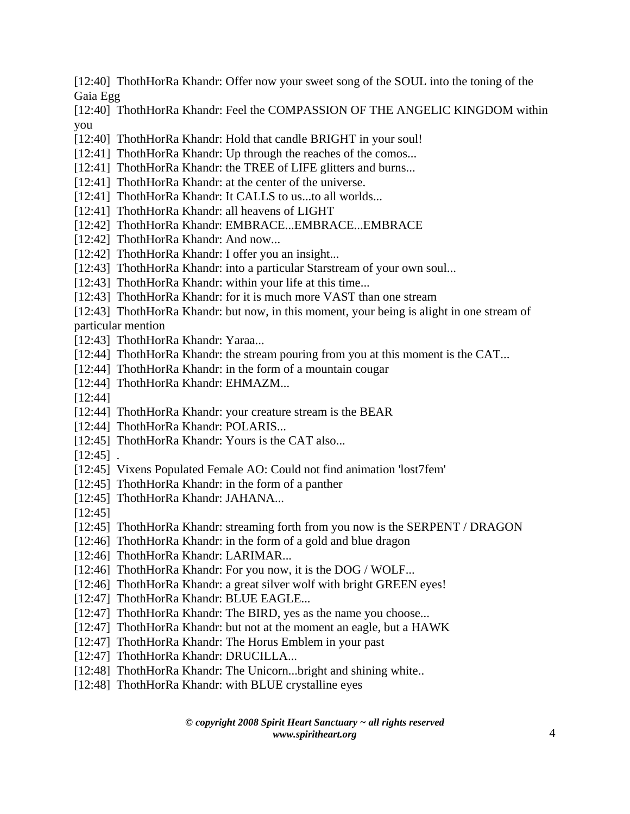[12:40] ThothHorRa Khandr: Offer now your sweet song of the SOUL into the toning of the Gaia Egg

[12:40] ThothHorRa Khandr: Feel the COMPASSION OF THE ANGELIC KINGDOM within you

- [12:40] ThothHorRa Khandr: Hold that candle BRIGHT in your soul!
- [12:41] ThothHorRa Khandr: Up through the reaches of the comos...
- [12:41] ThothHorRa Khandr: the TREE of LIFE glitters and burns...
- [12:41] ThothHorRa Khandr: at the center of the universe.
- [12:41] ThothHorRa Khandr: It CALLS to us...to all worlds...
- [12:41] ThothHorRa Khandr: all heavens of LIGHT
- [12:42] ThothHorRa Khandr: EMBRACE...EMBRACE...EMBRACE
- [12:42] ThothHorRa Khandr: And now...
- [12:42] ThothHorRa Khandr: I offer you an insight...
- [12:43] ThothHorRa Khandr: into a particular Starstream of your own soul...
- [12:43] ThothHorRa Khandr: within your life at this time...
- [12:43] ThothHorRa Khandr: for it is much more VAST than one stream
- [12:43] ThothHorRa Khandr: but now, in this moment, your being is alight in one stream of particular mention
- [12:43] ThothHorRa Khandr: Yaraa...
- [12:44] ThothHorRa Khandr: the stream pouring from you at this moment is the CAT...
- [12:44] ThothHorRa Khandr: in the form of a mountain cougar
- [12:44] ThothHorRa Khandr: EHMAZM...
- [12:44]
- [12:44] ThothHorRa Khandr: your creature stream is the BEAR
- [12:44] ThothHorRa Khandr: POLARIS...
- [12:45] ThothHorRa Khandr: Yours is the CAT also...
- $[12:45]$ .
- [12:45] Vixens Populated Female AO: Could not find animation 'lost7fem'
- [12:45] ThothHorRa Khandr: in the form of a panther
- [12:45] ThothHorRa Khandr: JAHANA...
- [12:45]
- [12:45] ThothHorRa Khandr: streaming forth from you now is the SERPENT / DRAGON
- [12:46] ThothHorRa Khandr: in the form of a gold and blue dragon
- [12:46] ThothHorRa Khandr: LARIMAR...
- [12:46] ThothHorRa Khandr: For you now, it is the DOG / WOLF...
- [12:46] ThothHorRa Khandr: a great silver wolf with bright GREEN eyes!
- [12:47] ThothHorRa Khandr: BLUE EAGLE...
- [12:47] ThothHorRa Khandr: The BIRD, yes as the name you choose...
- [12:47] ThothHorRa Khandr: but not at the moment an eagle, but a HAWK
- [12:47] ThothHorRa Khandr: The Horus Emblem in your past
- [12:47] ThothHorRa Khandr: DRUCILLA...
- [12:48] ThothHorRa Khandr: The Unicorn...bright and shining white...
- [12:48] ThothHorRa Khandr: with BLUE crystalline eyes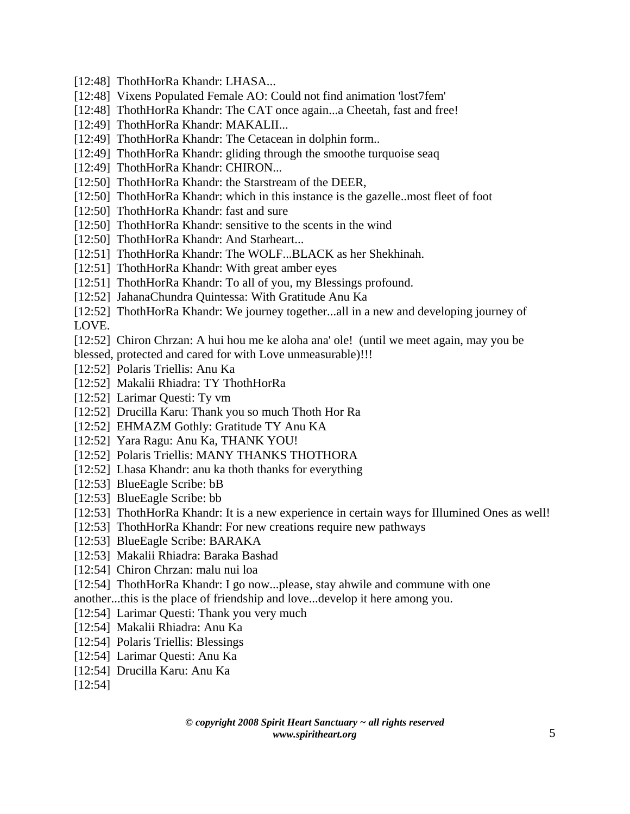- [12:48] ThothHorRa Khandr: LHASA...
- [12:48] Vixens Populated Female AO: Could not find animation 'lost7fem'
- [12:48] ThothHorRa Khandr: The CAT once again...a Cheetah, fast and free!
- [12:49] ThothHorRa Khandr: MAKALII...
- [12:49] ThothHorRa Khandr: The Cetacean in dolphin form...
- [12:49] ThothHorRa Khandr: gliding through the smoothe turquoise seaq
- [12:49] ThothHorRa Khandr: CHIRON...
- [12:50] ThothHorRa Khandr: the Starstream of the DEER,
- [12:50] ThothHorRa Khandr: which in this instance is the gazelle..most fleet of foot
- [12:50] ThothHorRa Khandr: fast and sure
- [12:50] ThothHorRa Khandr: sensitive to the scents in the wind
- [12:50] ThothHorRa Khandr: And Starheart...
- [12:51] ThothHorRa Khandr: The WOLF...BLACK as her Shekhinah.
- [12:51] ThothHorRa Khandr: With great amber eyes
- [12:51] ThothHorRa Khandr: To all of you, my Blessings profound.
- [12:52] JahanaChundra Quintessa: With Gratitude Anu Ka
- [12:52] ThothHorRa Khandr: We journey together...all in a new and developing journey of LOVE.
- [12:52] Chiron Chrzan: A hui hou me ke aloha ana' ole! (until we meet again, may you be
- blessed, protected and cared for with Love unmeasurable)!!!
- [12:52] Polaris Triellis: Anu Ka
- [12:52] Makalii Rhiadra: TY ThothHorRa
- [12:52] Larimar Questi: Ty vm
- [12:52] Drucilla Karu: Thank you so much Thoth Hor Ra
- [12:52] EHMAZM Gothly: Gratitude TY Anu KA
- [12:52] Yara Ragu: Anu Ka, THANK YOU!
- [12:52] Polaris Triellis: MANY THANKS THOTHORA
- [12:52] Lhasa Khandr: anu ka thoth thanks for everything
- [12:53] BlueEagle Scribe: bB
- [12:53] BlueEagle Scribe: bb
- [12:53] ThothHorRa Khandr: It is a new experience in certain ways for Illumined Ones as well!
- [12:53] ThothHorRa Khandr: For new creations require new pathways
- [12:53] BlueEagle Scribe: BARAKA
- [12:53] Makalii Rhiadra: Baraka Bashad
- [12:54] Chiron Chrzan: malu nui loa
- [12:54] ThothHorRa Khandr: I go now...please, stay ahwile and commune with one
- another...this is the place of friendship and love...develop it here among you.
- [12:54] Larimar Questi: Thank you very much
- [12:54] Makalii Rhiadra: Anu Ka
- [12:54] Polaris Triellis: Blessings
- [12:54] Larimar Questi: Anu Ka
- [12:54] Drucilla Karu: Anu Ka
- [12:54]